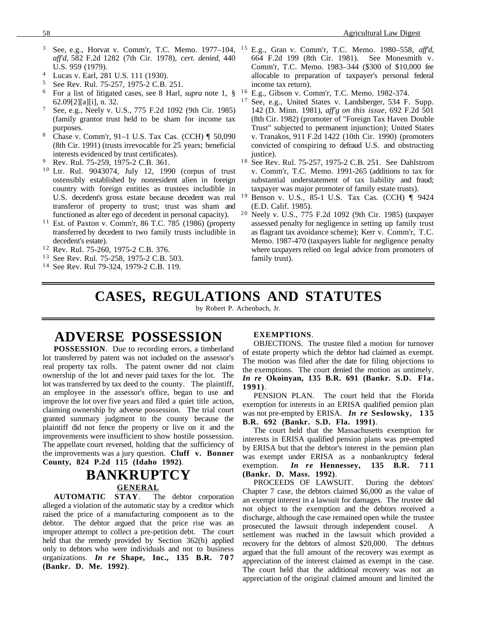- <sup>3</sup> See, e.g., Horvat v. Comm'r, T.C. Memo. 1977–104, *aff'd*, 582 F.2d 1282 (7th Cir. 1978), *cert. denied*, 440 U.S. 959 (1979).
- <sup>4</sup> Lucas v. Earl, 281 U.S. 111 (1930).
- $5$  See Rev. Rul. 75-257, 1975-2 C.B. 251.<br> $6$  For a list of litigated cases, see 8 Harl
- <sup>6</sup> For a list of litigated cases, see 8 Harl, *supra* note 1, § 62.09[2][a][i], n. 32.
- <sup>7</sup> See, e.g., Neely v. U.S., 775 F.2d 1092 (9th Cir. 1985) (family grantor trust held to be sham for income tax purposes.
- <sup>8</sup> Chase v. Comm'r, 91–1 U.S. Tax Cas. (CCH) ¶ 50,090 (8th Cir. 1991) (trusts irrevocable for 25 years; beneficial interests evidenced by trust certificates).
- <sup>9</sup> Rev. Rul. 75-259, 1975-2 C.B. 361.
- <sup>10</sup> Ltr. Rul. 9043074, July 12, 1990 (corpus of trust ostensibly established by nonresident alien in foreign country with foreign entities as trustees includible in U.S. decedent's gross estate because decedent was real <sup>19</sup> transferor of property to trust; trust was sham and functioned as alter ego of decedent in personal capacity).
- $11$  Est. of Paxton v. Comm'r, 86 T.C. 785 (1986) (property transferred by decedent to two family trusts includible in decedent's estate).
- <sup>12</sup> Rev. Rul. 75-260, 1975-2 C.B. 376.
- <sup>13</sup> See Rev. Rul. 75-258, 1975-2 C.B. 503.
- <sup>14</sup> See Rev. Rul 79-324, 1979-2 C.B. 119.
- 1 5 E.g., Gran v. Comm'r, T.C. Memo. 1980–558, *aff'd*, 664 F.2d 199 (8th Cir. 1981). See Monesmith v. Comm'r, T.C. Memo. 1983–344 (\$300 of \$10,000 fee allocable to preparation of taxpayer's personal federal income tax return).
- <sup>16</sup> E.g., Gibson v. Comm'r, T.C. Memo. 1982-374.<br><sup>17</sup> See e.g. United States v. Landsberger, 534 E.
- See, e.g., United States v. Landsberger, 534 F. Supp. 142 (D. Minn. 1981), *aff'g on this issue*, 692 F.2d 501 (8th Cir. 1982) (promoter of "Foreign Tax Haven Double Trust" subjected to permanent injunction); United States v. Tranakos, 911 F.2d 1422 (10th Cir. 1990) (promoters convicted of conspiring to defraud U.S. and obstructing justice).
- <sup>18</sup> See Rev. Rul. 75-257, 1975-2 C.B. 251. See Dahlstrom v. Comm'r, T.C. Memo. 1991-265 (additions to tax for substantial understatement of tax liability and fraud; taxpayer was major promoter of family estate trusts).
- Benson v. U.S., 85-1 U.S. Tax Cas. (CCH) ¶ 9424 (E.D. Calif. 1985).
- 2 0 Neely v. U.S., 775 F.2d 1092 (9th Cir. 1985) (taxpayer assessed penalty for negligence in setting up family trust as flagrant tax avoidance scheme); Kerr v. Comm'r, T.C. Memo. 1987-470 (taxpayers liable for negligence penalty where taxpayers relied on legal advice from promoters of family trust).

# **CASES, REGULATIONS AND STATUTES**

by Robert P. Achenbach, Jr.

### **ADVERSE POSSESSION**

**POSSESSION**. Due to recording errors, a timberland lot transferred by patent was not included on the assessor's real property tax rolls. The patent owner did not claim ownership of the lot and never paid taxes for the lot. The lot was transferred by tax deed to the county. The plaintiff, an employee in the assessor's office, began to use and improve the lot over five years and filed a quiet title action, claiming ownership by adverse possession. The trial court granted summary judgment to the county because the plaintiff did not fence the property or live on it and the improvements were insufficient to show hostile possession. The appellate court reversed, holding that the sufficiency of the improvements was a jury question. **Cluff v. Bonner County, 824 P.2d 115 (Idaho 1992)**.

# **BANKRUPTCY GENERAL**

**AUTOMATIC STAY**. The debtor corporation alleged a violation of the automatic stay by a creditor which raised the price of a manufacturing component as to the debtor. The debtor argued that the price rise was an improper attempt to collect a pre-petition debt. The court held that the remedy provided by Section 362(h) applied only to debtors who were individuals and not to business organizations. *In re* **Shape, Inc., 135 B.R. 707 (Bankr. D. Me. 1992)**.

#### **EXEMPTIONS**.

OBJECTIONS. The trustee filed a motion for turnover of estate property which the debtor had claimed as exempt. The motion was filed after the date for filing objections to the exemptions. The court denied the motion as untimely. *In re* **Okoinyan, 135 B.R. 691 (Bankr. S.D. Fla. 1991)**.

PENSION PLAN. The court held that the Florida exemption for interests in an ERISA qualified pension plan was not pre-empted by ERISA. *In re* **Seslowsky, 135 B.R. 692 (Bankr. S.D. Fla. 1991)**.

The court held that the Massachusetts exemption for interests in ERISA qualified pension plans was pre-empted by ERISA but that the debtor's interest in the pension plan was exempt under ERISA as a nonbankruptcy federal exemption. *In re* **Hennessey, 135 B.R. 711 (Bankr. D. Mass. 1992)**.

PROCEEDS OF LAWSUIT. During the debtors' Chapter 7 case, the debtors claimed \$6,000 as the value of an exempt interest in a lawsuit for damages. The trustee did not object to the exemption and the debtors received a discharge, although the case remained open while the trustee prosecuted the lawsuit through independent cousel. A settlement was reached in the lawsuit which provided a recovery for the debtors of almost \$20,000. The debtors argued that the full amount of the recovery was exempt as appreciation of the interest claimed as exempt in the case. The court held that the additional recovery was not an appreciation of the original claimed amount and limited the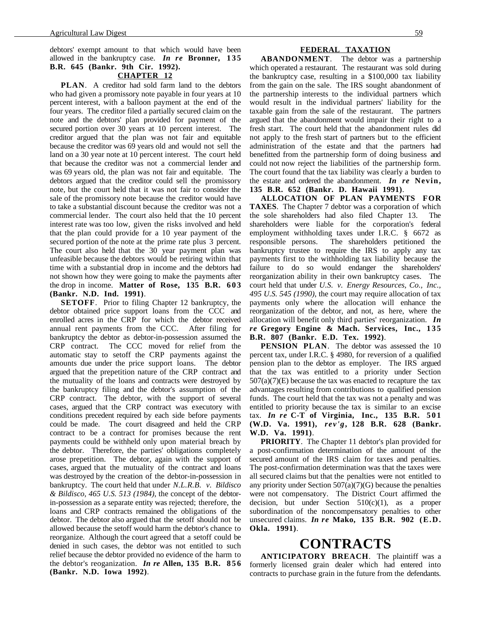debtors' exempt amount to that which would have been allowed in the bankruptcy case. *In re* **Bronner, 135 B.R. 645 (Bankr. 9th Cir. 1992).**

#### **CHAPTER 12**

**PLAN**. A creditor had sold farm land to the debtors who had given a promissory note payable in four years at 10 percent interest, with a balloon payment at the end of the four years. The creditor filed a partially secured claim on the note and the debtors' plan provided for payment of the secured portion over 30 years at 10 percent interest. The creditor argued that the plan was not fair and equitable because the creditor was 69 years old and would not sell the land on a 30 year note at 10 percent interest. The court held that because the creditor was not a commercial lender and was 69 years old, the plan was not fair and equitable. The debtors argued that the creditor could sell the promissory note, but the court held that it was not fair to consider the sale of the promissory note because the creditor would have to take a substantial discount because the creditor was not a commercial lender. The court also held that the 10 percent interest rate was too low, given the risks involved and held that the plan could provide for a 10 year payment of the secured portion of the note at the prime rate plus 3 percent. The court also held that the 30 year payment plan was unfeasible because the debtors would be retiring within that time with a substantial drop in income and the debtors had not shown how they were going to make the payments after the drop in income. **Matter of Rose, 135 B.R. 6 0 3 (Bankr. N.D. Ind. 1991)**.

**SETOFF.** Prior to filing Chapter 12 bankruptcy, the debtor obtained price support loans from the CCC and enrolled acres in the CRP for which the debtor received annual rent payments from the CCC. After filing for bankruptcy the debtor as debtor-in-possession assumed the CRP contract. The CCC moved for relief from the automatic stay to setoff the CRP payments against the amounts due under the price support loans. The debtor argued that the prepetition nature of the CRP contract and the mutuality of the loans and contracts were destroyed by the bankruptcy filing and the debtor's assumption of the CRP contract. The debtor, with the support of several cases, argued that the CRP contract was executory with conditions precedent required by each side before payments could be made. The court disagreed and held the CRP contract to be a contract for promises because the rent payments could be withheld only upon material breach by the debtor. Therefore, the parties' obligations completely arose prepetition. The debtor, again with the support of cases, argued that the mutuality of the contract and loans was destroyed by the creation of the debtor-in-possession in bankruptcy. The court held that under *N.L.R.B. v. Bildisco & Bildisco, 465 U.S. 513 (1984)*, the concept of the debtorin-possession as a separate entity was rejected; therefore, the loans and CRP contracts remained the obligations of the debtor. The debtor also argued that the setoff should not be allowed because the setoff would harm the debtor's chance to reorganize. Although the court agreed that a setoff could be denied in such cases, the debtor was not entitled to such relief because the debtor provided no evidence of the harm to the debtor's reoganization. *In re* **Allen, 135 B.R. 856 (Bankr. N.D. Iowa 1992)**.

#### **FEDERAL TAXATION**

**ABANDONMENT**. The debtor was a partnership which operated a restaurant. The restaurant was sold during the bankruptcy case, resulting in a \$100,000 tax liability from the gain on the sale. The IRS sought abandonment of the partnership interests to the individual partners which would result in the individual partners' liability for the taxable gain from the sale of the restaurant. The partners argued that the abandonment would impair their right to a fresh start. The court held that the abandonment rules did not apply to the fresh start of partners but to the efficient administration of the estate and that the partners had benefitted from the partnership form of doing business and could not now reject the liabilities of the partnership form. The court found that the tax liability was clearly a burden to the estate and ordered the abandonment. *In re* **Nevin, 135 B.R. 652 (Bankr. D. Hawaii 1991)**.

**ALLOCATION OF PLAN PAYMENTS FOR TAXES**. The Chapter 7 debtor was a corporation of which the sole shareholders had also filed Chapter 13. The shareholders were liable for the corporation's federal employment withholding taxes under I.R.C. § 6672 as responsible persons. The shareholders petitioned the bankruptcy trustee to require the IRS to apply any tax payments first to the withholding tax liability because the failure to do so would endanger the shareholders' reorganization ability in their own bankruptcy cases. The court held that under *U.S. v. Energy Resources, Co., Inc., 495 U.S. 545 (1990)*, the court may require allocation of tax payments only where the allocation will enhance the reorganization of the debtor, and not, as here, where the allocation will benefit only third parties' reorganization. *In re* **Gregory Engine & Mach. Services, Inc., 135 B.R. 807 (Bankr. E.D. Tex. 1992)**.

**PENSION PLAN**. The debtor was assessed the 10 percent tax, under I.R.C. § 4980, for reversion of a qualified pension plan to the debtor as employer. The IRS argued that the tax was entitled to a priority under Section  $507(a)(7)$ (E) because the tax was enacted to recapture the tax advantages resulting from contributions to qualified pension funds. The court held that the tax was not a penalty and was entitled to priority because the tax is similar to an excise tax. *In re* **C-T of Virginia, Inc., 135 B.R. 5 0 1 (W.D. Va. 1991),** *rev'g***, 128 B.R. 628 (Bankr. W.D. Va. 1991)**.

**PRIORITY**. The Chapter 11 debtor's plan provided for a post-confirmation determination of the amount of the secured amount of the IRS claim for taxes and penalties. The post-confirmation determination was that the taxes were all secured claims but that the penalties were not entitled to any priority under Section  $507(a)(7)(G)$  because the penalties were not compensatory. The District Court affirmed the decision, but under Section  $510(c)(1)$ , as a proper subordination of the noncompensatory penalties to other unsecured claims. *In re* **Mako, 135 B.R. 902 (E.D. Okla. 1991)**.

### **CONTRACTS**

**ANTICIPATORY BREACH**. The plaintiff was a formerly licensed grain dealer which had entered into contracts to purchase grain in the future from the defendants.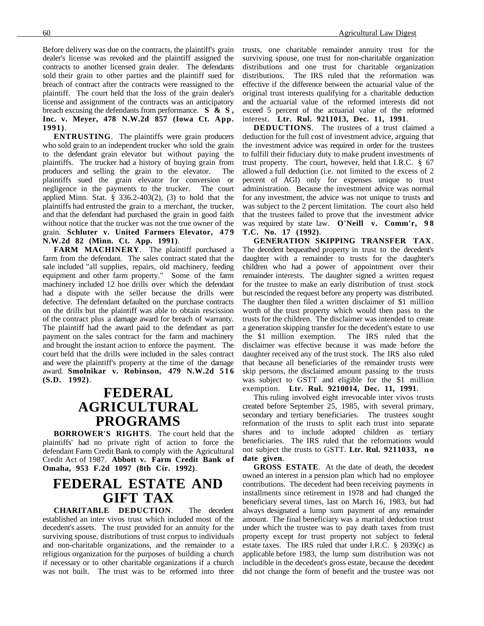Before delivery was due on the contracts, the plaintiff's grain dealer's license was revoked and the plaintiff assigned the contracts to another licensed grain dealer. The defendants sold their grain to other parties and the plaintiff sued for breach of contract after the contracts were reassigned to the plaintiff. The court held that the loss of the grain dealer's license and assignment of the contracts was an anticipatory breach excusing the defendants from performance. **S & S , Inc. v. Meyer, 478 N.W.2d 857 (Iowa Ct. App. 1991)**.

**ENTRUSTING**. The plaintiffs were grain producers who sold grain to an independent trucker who sold the grain to the defendant grain elevator but without paying the plaintiffs. The trucker had a history of buying grain from producers and selling the grain to the elevator. The plaintiffs sued the grain elevator for conversion or negligence in the payments to the trucker. The court applied Minn. Stat.  $\S$  336.2-403(2), (3) to hold that the plaintiffs had entrusted the grain to a merchant, the trucker, and that the defendant had purchased the grain in good faith without notice that the trucker was not the true owner of the grain. **Schluter v. United Farmers Elevator, 479 N.W.2d 82 (Minn. Ct. App. 1991)**.

**FARM MACHINERY**. The plaintiff purchased a farm from the defendant. The sales contract stated that the sale included "all supplies, repairs, old machinery, feeding equipment and other farm property." Some of the farm machinery included 12 hoe drills over which the defendant had a dispute with the seller because the drills were defective. The defendant defaulted on the purchase contracts on the drills but the plaintiff was able to obtain rescission of the contract plus a damage award for breach of warranty. The plaintiff had the award paid to the defendant as part payment on the sales contract for the farm and machinery and brought the instant action to enforce the payment. The court held that the drills were included in the sales contract and were the plaintiff's property at the time of the damage award. **Smolnikar v. Robinson, 479 N.W.2d 516 (S.D. 1992)**.

### **FEDERAL AGRICULTURAL PROGRAMS**

**BORROWER'S RIGHTS**. The court held that the plaintiffs' had no private right of action to force the defendant Farm Credit Bank to comply with the Agricultural Credit Act of 1987. Abbott v. Farm Credit Bank of **Omaha, 953 F.2d 1097 (8th Cir. 1992)**.

## **FEDERAL ESTATE AND GIFT TAX**

**CHARITABLE DEDUCTION**. The decedent established an inter vivos trust which included most of the decedent's assets. The trust provided for an annuity for the surviving spouse, distributions of trust corpus to individuals and non-charitable organizations, and the remainder to a religious organization for the purposes of building a church if necessary or to other charitable organizations if a church was not built. The trust was to be reformed into three trusts, one charitable remainder annuity trust for the surviving spouse, one trust for non-charitable organization distributions and one trust for charitable organization distributions. The IRS ruled that the reformation was effective if the difference between the actuarial value of the original trust interests qualifying for a charitable deduction and the actuarial value of the reformed interests did not exceed 5 percent of the actuarial value of the reformed interest. **Ltr. Rul. 9211013, Dec. 11, 1991**.

**DEDUCTIONS**. The trustees of a trust claimed a deduction for the full cost of investment advice, arguing that the investment advice was required in order for the trustees to fulfill their fiduciary duty to make prudent investments of trust property. The court, however, held that I.R.C. § 67 allowed a full deduction (i.e. not limited to the excess of 2 percent of AGI) only for expenses unique to trust administration. Because the investment advice was normal for any investment, the advice was not unique to trusts and was subject to the 2 percent limitation. The court also held that the trustees failed to prove that the investment advice was required by state law. **O'Neill v. Comm'r, 9 8 T.C. No. 17 (1992)**.

**GENERATION SKIPPING TRANSFER TAX**. The decedent bequeathed property in trust to the decedent's daughter with a remainder to trusts for the daughter's children who had a power of appointment over their remainder interests. The daughter signed a written request for the trustee to make an early distribution of trust stock but rescinded the request before any property was distributed. The daughter then filed a written disclaimer of \$1 million worth of the trust property which would then pass to the trusts for the children. The disclaimer was intended to create a generation skipping transfer for the decedent's estate to use the \$1 million exemption. The IRS ruled that the disclaimer was effective because it was made before the daughter received any of the trust stock. The IRS also ruled that because all beneficiaries of the remainder trusts were skip persons, the disclaimed amount passing to the trusts was subject to GSTT and eligible for the \$1 million exemption. **Ltr. Rul. 9210014, Dec. 11, 1991**.

This ruling involved eight irrevocable inter vivos trusts created before September 25, 1985, with several primary, secondary and tertiary beneficiaries. The trustees sought reformation of the trusts to split each trust into separate shares and to include adopted children as tertiary beneficiaries. The IRS ruled that the reformations would not subject the trusts to GSTT. **Ltr. Rul. 9211033, no date given**.

**GROSS ESTATE**. At the date of death, the decedent owned an interest in a pension plan which had no employee contributions. The decedent had been receiving payments in installments since retirement in 1978 and had changed the beneficiary several times, last on March 16, 1983, but had always designated a lump sum payment of any remainder amount. The final beneficiary was a marital deduction trust under which the trustee was to pay death taxes from trust property except for trust property not subject to federal estate taxes. The IRS ruled that under I.R.C. § 2039(c) as applicable before 1983, the lump sum distribution was not includible in the decedent's gross estate, because the decedent did not change the form of benefit and the trustee was not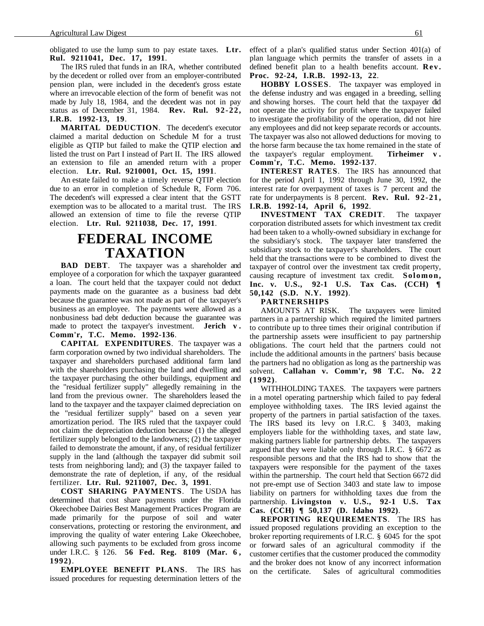obligated to use the lump sum to pay estate taxes. **Ltr. Rul. 9211041, Dec. 17, 1991**.

The IRS ruled that funds in an IRA, whether contributed by the decedent or rolled over from an employer-contributed pension plan, were included in the decedent's gross estate where an irrevocable election of the form of benefit was not made by July 18, 1984, and the decedent was not in pay status as of December 31, 1984. **Rev. Rul. 92-22, I.R.B. 1992-13, 19**.

**MARITAL DEDUCTION**. The decedent's executor claimed a marital deduction on Schedule M for a trust eligible as QTIP but failed to make the QTIP election and listed the trust on Part I instead of Part II. The IRS allowed an extension to file an amended return with a proper election. **Ltr. Rul. 9210001, Oct. 15, 1991**.

An estate failed to make a timely reverse QTIP election due to an error in completion of Schedule R, Form 706. The decedent's will expressed a clear intent that the GSTT exemption was to be allocated to a marital trust. The IRS allowed an extension of time to file the reverse QTIP election. **Ltr. Rul. 9211038, Dec. 17, 1991**.

### **FEDERAL INCOME TAXATION**

**BAD DEBT**. The taxpayer was a shareholder and employee of a corporation for which the taxpayer guaranteed a loan. The court held that the taxpayer could not deduct payments made on the guarantee as a business bad debt because the guarantee was not made as part of the taxpayer's business as an employee. The payments were allowed as a nonbusiness bad debt deduction because the guarantee was made to protect the taxpayer's investment. **Jerich v . Comm'r, T.C. Memo. 1992-136**.

**CAPITAL EXPENDITURES**. The taxpayer was a farm corporation owned by two individual shareholders. The taxpayer and shareholders purchased additional farm land with the shareholders purchasing the land and dwelling and the taxpayer purchasing the other buildings, equipment and the "residual fertilizer supply" allegedly remaining in the land from the previous owner. The shareholders leased the land to the taxpayer and the taxpayer claimed depreciation on the "residual fertilizer supply" based on a seven year amortization period. The IRS ruled that the taxpayer could not claim the depreciation deduction because (1) the alleged fertilizer supply belonged to the landowners; (2) the taxpayer failed to demonstrate the amount, if any, of residual fertilizer supply in the land (although the taxpayer did submit soil tests from neighboring land); and (3) the taxpayer failed to demonstrate the rate of depletion, if any, of the residual fertilizer. **Ltr. Rul. 9211007, Dec. 3, 1991**.

**COST SHARING PAYMENTS**. The USDA has determined that cost share payments under the Florida Okeechobee Dairies Best Management Practices Program are made primarily for the purpose of soil and water conservations, protecting or restoring the environment, and improving the quality of water entering Lake Okeechobee, allowing such payments to be excluded from gross income under I.R.C. § 126. **56 Fed. Reg. 8109 (Mar. 6 , 1992)**.

**EMPLOYEE BENEFIT PLANS**. The IRS has issued procedures for requesting determination letters of the effect of a plan's qualified status under Section 401(a) of plan language which permits the transfer of assets in a defined benefit plan to a health benefits account. **Rev. Proc. 92-24, I.R.B. 1992-13, 22**.

**HOBBY LOSSES**. The taxpayer was employed in the defense industry and was engaged in a breeding, selling and showing horses. The court held that the taxpayer did not operate the activity for profit where the taxpayer failed to investigate the profitability of the operation, did not hire any employees and did not keep separate records or accounts. The taxpayer was also not allowed deductions for moving to the horse farm because the tax home remained in the state of the taxpayer's regular employment. **Tirheimer v . Comm'r, T.C. Memo. 1992-137**.

**INTEREST RATES**. The IRS has announced that for the period April 1, 1992 through June 30, 1992, the interest rate for overpayment of taxes is 7 percent and the rate for underpayments is 8 percent. **Rev. Rul. 92-21, I.R.B. 1992-14, April 6, 1992**.

**INVESTMENT TAX CREDIT**. The taxpayer corporation distributed assets for which investment tax credit had been taken to a wholly-owned subsidiary in exchange for the subsidiary's stock. The taxpayer later transferred the subsidiary stock to the taxpayer's shareholders. The court held that the transactions were to be combined to divest the taxpayer of control over the investment tax credit property, causing recapture of investment tax credit. **Solomon, Inc. v. U.S., 92-1 U.S. Tax Cas. (CCH) ¶ 50,142 (S.D. N.Y. 1992)**.

#### **PARTNERSHIPS**

AMOUNTS AT RISK. The taxpayers were limited partners in a partnership which required the limited partners to contribute up to three times their original contribution if the partnership assets were insufficient to pay partnership obligations. The court held that the partners could not include the additional amounts in the partners' basis because the partners had no obligation as long as the partnership was solvent. **Callahan v. Comm'r, 98 T.C. No. 22 (1992)**.

WITHHOLDING TAXES. The taxpayers were partners in a motel operating partnership which failed to pay federal employee withholding taxes. The IRS levied against the property of the partners in partial satisfaction of the taxes. The IRS based its levy on I.R.C. § 3403, making employers liable for the withholding taxes, and state law, making partners liable for partnership debts. The taxpayers argued that they were liable only through I.R.C. § 6672 as responsible persons and that the IRS had to show that the taxpayers were responsible for the payment of the taxes within the partnership. The court held that Section 6672 did not pre-empt use of Section 3403 and state law to impose liability on partners for withholding taxes due from the partnership. **Livingston v. U.S., 92-1 U.S. Tax Cas. (CCH) ¶ 50,137 (D. Idaho 1992)**.

**REPORTING REQUIREMENTS**. The IRS has issued proposed regulations providing an exception to the broker reporting requirements of I.R.C. § 6045 for the spot or forward sales of an agricultural commodity if the customer certifies that the customer produced the commodity and the broker does not know of any incorrect information on the certificate. Sales of agricultural commodities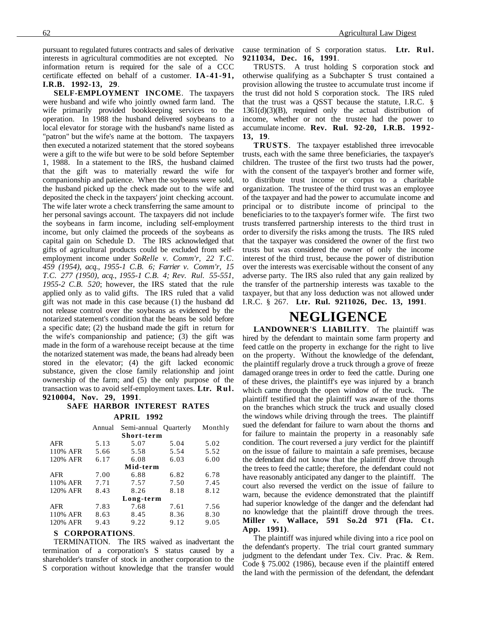pursuant to regulated futures contracts and sales of derivative interests in agricultural commodities are not excepted. No information return is required for the sale of a CCC certificate effected on behalf of a customer. **IA-41-91, I.R.B. 1992-13, 29**.

**SELF-EMPLOYMENT INCOME**. The taxpayers were husband and wife who jointly owned farm land. The wife primarily provided bookkeeping services to the operation. In 1988 the husband delivered soybeans to a local elevator for storage with the husband's name listed as "patron" but the wife's name at the bottom. The taxpayers then executed a notarized statement that the stored soybeans were a gift to the wife but were to be sold before September 1, 1988. In a statement to the IRS, the husband claimed that the gift was to materially reward the wife for companionship and patience. When the soybeans were sold, the husband picked up the check made out to the wife and deposited the check in the taxpayers' joint checking account. The wife later wrote a check transferring the same amount to her personal savings account. The taxpayers did not include the soybeans in farm income, including self-employment income, but only claimed the proceeds of the soybeans as capital gain on Schedule D. The IRS acknowledged that gifts of agricultural products could be excluded from selfemployment income under *SoRelle v. Comm'r, 22 T.C. 459 (1954), acq., 1955-1 C.B. 6; Farrier v. Comm'r, 15 T.C. 277 (1950), acq., 1955-1 C.B. 4; Rev. Rul. 55-551, 1955-2 C.B. 520*; however, the IRS stated that the rule applied only as to valid gifts. The IRS ruled that a valid gift was not made in this case because (1) the husband did not release control over the soybeans as evidenced by the notarized statement's condition that the beans be sold before a specific date; (2) the husband made the gift in return for the wife's companionship and patience; (3) the gift was made in the form of a warehouse receipt because at the time the notarized statement was made, the beans had already been stored in the elevator; (4) the gift lacked economic substance, given the close family relationship and joint ownership of the farm; and (5) the only purpose of the transaction was to avoid self-employment taxes. **Ltr. Rul. 9210004, Nov. 29, 1991**.

#### **SAFE HARBOR INTEREST RATES**

**APRIL 1992**

|            | Annual | Semi-annual Quarterly |      | Monthly |
|------------|--------|-----------------------|------|---------|
| Short-term |        |                       |      |         |
| <b>AFR</b> | 5.13   | 5.07                  | 5.04 | 5.02    |
| 110% AFR   | 5.66   | 5.58                  | 5.54 | 5.52    |
| 120% AFR   | 6.17   | 6.08                  | 6.03 | 6.00    |
| Mid-term   |        |                       |      |         |
| <b>AFR</b> | 7.00   | 6.88                  | 6.82 | 6.78    |
| 110% AFR   | 7.71   | 7.57                  | 7.50 | 7.45    |
| 120% AFR   | 8.43   | 8.26                  | 8.18 | 8.12    |
| Long-term  |        |                       |      |         |
| AFR        | 7.83   | 7.68                  | 7.61 | 7.56    |
| 110% AFR   | 8.63   | 8.45                  | 8.36 | 8.30    |
| 120% AFR   | 9.43   | 9.22                  | 9.12 | 9.05    |

#### **S CORPORATIONS**.

TERMINATION. The IRS waived as inadvertant the termination of a corporation's S status caused by a shareholder's transfer of stock in another corporation to the S corporation without knowledge that the transfer would cause termination of S corporation status. **Ltr. Rul. 9211034, Dec. 16, 1991**.

TRUSTS. A trust holding S corporation stock and otherwise qualifying as a Subchapter S trust contained a provision allowing the trustee to accumulate trust income if the trust did not hold S corporation stock. The IRS ruled that the trust was a QSST because the statute, I.R.C. §  $1361(d)(3)(B)$ , required only the actual distribution of income, whether or not the trustee had the power to accumulate income. **Rev. Rul. 92-20, I.R.B. 1992- 13, 19**.

**TRUSTS**. The taxpayer established three irrevocable trusts, each with the same three beneficiaries, the taxpayer's children. The trustee of the first two trusts had the power, with the consent of the taxpayer's brother and former wife, to distribute trust income or corpus to a charitable organization. The trustee of the third trust was an employee of the taxpayer and had the power to accumulate income and principal or to distribute income of principal to the beneficiaries to to the taxpayer's former wife. The first two trusts transferred partnership interests to the third trust in order to diversify the risks among the trusts. The IRS ruled that the taxpayer was considered the owner of the first two trusts but was considered the owner of only the income interest of the third trust, because the power of distribution over the interests was exercisable without the consent of any adverse party. The IRS also ruled that any gain realized by the transfer of the partnership interests was taxable to the taxpayer, but that any loss deduction was not allowed under I.R.C. § 267. **Ltr. Rul. 9211026, Dec. 13, 1991**.

### **NEGLIGENCE**

**LANDOWNER'S LIABILITY**. The plaintiff was hired by the defendant to maintain some farm property and feed cattle on the property in exchange for the right to live on the property. Without the knowledge of the defendant, the plaintiff regularly drove a truck through a grove of freeze damaged orange trees in order to feed the cattle. During one of these drives, the plaintiff's eye was injured by a branch which came through the open window of the truck. The plaintiff testified that the plaintiff was aware of the thorns on the branches which struck the truck and usually closed the windows while driving through the trees. The plaintiff sued the defendant for failure to warn about the thorns and for failure to maintain the property in a reasonably safe condition. The court reversed a jury verdict for the plaintiff on the issue of failure to maintain a safe premises, because the defendant did not know that the plaintiff drove through the trees to feed the cattle; therefore, the defendant could not have reasonably anticipated any danger to the plaintiff. The court also reversed the verdict on the issue of failure to warn, because the evidence demonstrated that the plaintiff had superior knowledge of the danger and the defendant had no knowledge that the plaintiff drove through the trees. Miller v. Wallace, 591 So.2d 971 (Fla. Ct. **App. 1991)**.

The plaintiff was injured while diving into a rice pool on the defendant's property. The trial court granted summary judgment to the defendant under Tex. Civ. Prac. & Rem. Code § 75.002 (1986), because even if the plaintiff entered the land with the permission of the defendant, the defendant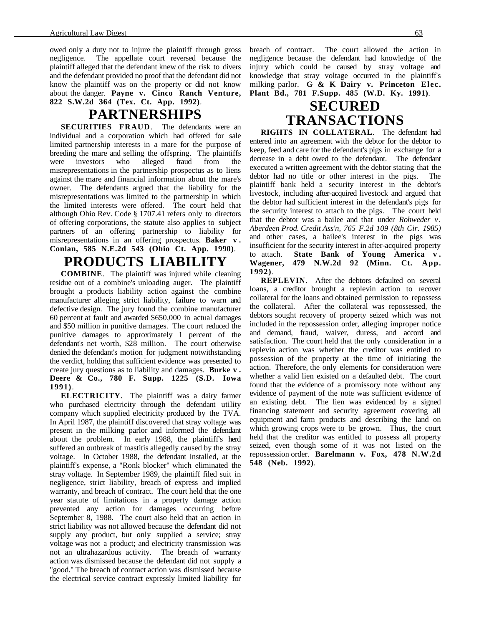owed only a duty not to injure the plaintiff through gross negligence. The appellate court reversed because the plaintiff alleged that the defendant knew of the risk to divers and the defendant provided no proof that the defendant did not know the plaintiff was on the property or did not know about the danger. **Payne v. Cinco Ranch Venture, 822 S.W.2d 364 (Tex. Ct. App. 1992)**.

### **PARTNERSHIPS**

**SECURITIES FRAUD**. The defendants were an individual and a corporation which had offered for sale limited partnership interests in a mare for the purpose of breeding the mare and selling the offspring. The plaintiffs were investors who alleged fraud from the misrepresentations in the partnership prospectus as to liens against the mare and financial information about the mare's owner. The defendants argued that the liability for the misrepresentations was limited to the partnership in which the limited interests were offered. The court held that although Ohio Rev. Code § 1707.41 refers only to directors of offering corporations, the statute also applies to subject partners of an offering partnership to liability for misrepresentations in an offering prospectus. **Baker v . Conlan, 585 N.E.2d 543 (Ohio Ct. App. 1990)**.

### **PRODUCTS LIABILITY**

**COMBINE**. The plaintiff was injured while cleaning residue out of a combine's unloading auger. The plaintiff brought a products liability action against the combine manufacturer alleging strict liability, failure to warn and defective design. The jury found the combine manufacturer 60 percent at fault and awarded \$650,000 in actual damages and \$50 million in punitive damages. The court reduced the punitive damages to approximately 1 percent of the defendant's net worth, \$28 million. The court otherwise denied the defendant's motion for judgment notwithstanding the verdict, holding that sufficient evidence was presented to create jury questions as to liability and damages. **Burke v . Deere & Co., 780 F. Supp. 1225 (S.D. Iowa 1991)**.

**ELECTRICITY**. The plaintiff was a dairy farmer who purchased electricity through the defendant utility company which supplied electricity produced by the TVA. In April 1987, the plaintiff discovered that stray voltage was present in the milking parlor and informed the defendant about the problem. In early 1988, the plaintiff's herd suffered an outbreak of mastitis allegedly caused by the stray voltage. In October 1988, the defendant installed, at the plaintiff's expense, a "Ronk blocker" which eliminated the stray voltage. In September 1989, the plaintiff filed suit in negligence, strict liability, breach of express and implied warranty, and breach of contract. The court held that the one year statute of limitations in a property damage action prevented any action for damages occurring before September 8, 1988. The court also held that an action in strict liability was not allowed because the defendant did not supply any product, but only supplied a service; stray voltage was not a product; and electricity transmission was not an ultrahazardous activity. The breach of warranty action was dismissed because the defendant did not supply a "good." The breach of contract action was dismissed because the electrical service contract expressly limited liability for breach of contract. The court allowed the action in negligence because the defendant had knowledge of the injury which could be caused by stray voltage and knowledge that stray voltage occurred in the plaintiff's milking parlor. **G & K Dairy v. Princeton Elec. Plant Bd., 781 F.Supp. 485 (W.D. Ky. 1991)**.

# **SECURED TRANSACTIONS**

**RIGHTS IN COLLATERAL**. The defendant had entered into an agreement with the debtor for the debtor to keep, feed and care for the defendant's pigs in exchange for a decrease in a debt owed to the defendant. The defendant executed a written agreement with the debtor stating that the debtor had no title or other interest in the pigs. The plaintiff bank held a security interest in the debtor's livestock, including after-acquired livestock and argued that the debtor had sufficient interest in the defendant's pigs for the security interest to attach to the pigs. The court held that the debtor was a bailee and that under *Rohweder v. Aberdeen Prod. Credit Ass'n, 765 F.2d 109 (8th Cir. 1985)* and other cases, a bailee's interest in the pigs was insufficient for the security interest in after-acquired property to attach. **State Bank of Young America v . Wagener, 479 N.W.2d 92 (Minn. Ct. App. 1992)**.

**REPLEVIN**. After the debtors defaulted on several loans, a creditor brought a replevin action to recover collateral for the loans and obtained permission to repossess the collateral. After the collateral was repossessed, the debtors sought recovery of property seized which was not included in the repossession order, alleging improper notice and demand, fraud, waiver, duress, and accord and satisfaction. The court held that the only consideration in a replevin action was whether the creditor was entitled to possession of the property at the time of initiating the action. Therefore, the only elements for consideration were whether a valid lien existed on a defaulted debt. The court found that the evidence of a promissory note without any evidence of payment of the note was sufficient evidence of an existing debt. The lien was evidenced by a signed financing statement and security agreement covering all equipment and farm products and describing the land on which growing crops were to be grown. Thus, the court held that the creditor was entitled to possess all property seized, even though some of it was not listed on the repossession order. **Barelmann v. Fox, 478 N.W.2d 548 (Neb. 1992)**.